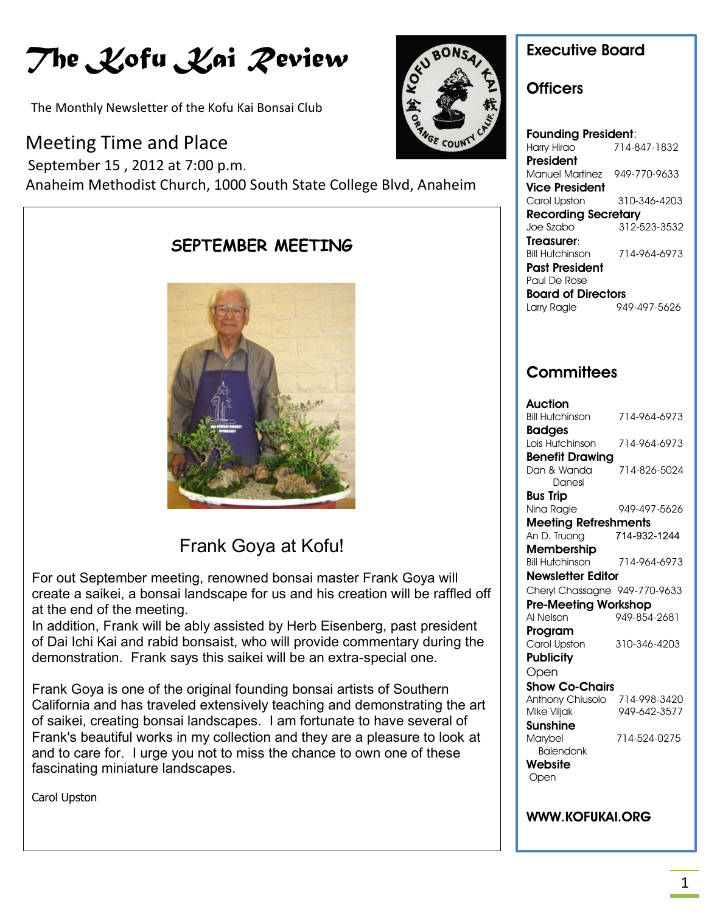# *The Kofu Kai Review*

The Monthly Newsletter of the Kofu Kai Bonsai Club

### Meeting Time and Place

 September 15 , 2012 at 7:00 p.m. Anaheim Methodist Church, 1000 South State College Blvd, Anaheim



### **Executive Board**

### **Officers**

**Founding President**: Harry Hirao 714-847-1832 **President** Manuel Martinez 949-770-9633 **Vice President** Carol Upston 310-346-4203 **Recording Secretary** Joe Szabo 312-523-3532 **Treasurer**: Bill Hutchinson 714-964-6973 **Past President** Paul De Rose **Board of Directors** Larry Ragle 949-497-5626

### **Committees**

| Auction                       |              |
|-------------------------------|--------------|
| <b>Bill Hutchinson</b>        | 714-964-6973 |
| <b>Badges</b>                 |              |
| Lois Hutchinson               | 714-964-6973 |
| <b>Benefit Drawing</b>        |              |
| Dan & Wanda                   | 714-826-5024 |
| Danesi                        |              |
| Bus Trip                      |              |
| Nina Ragle                    | 949-497-5626 |
| <b>Meeting Refreshments</b>   |              |
| An D. Truong                  | 714-932-1244 |
| <b>Membership</b>             |              |
| <b>Bill Hutchinson</b>        | 714-964-6973 |
| <b>Newsletter Editor</b>      |              |
| Cheryl Chassagne 949-770-9633 |              |
| <b>Pre-Meeting Workshop</b>   |              |
| Al Nelson                     | 949-854-2681 |
| Program                       |              |
| Carol Upston                  | 310-346-4203 |
| <b>Publicity</b>              |              |
| Open                          |              |
| Show Co-Chairs                |              |
| Anthony Chiusolo              | 714-998-3420 |
| Mike Viljak                   | 949-642-3577 |
| Sunshine                      |              |
| Marybel                       | 714-524-0275 |
| <b>Balendonk</b>              |              |
| Website                       |              |
| Open                          |              |
|                               |              |
|                               |              |

**WWW.KOFUKAI.ORG**





### Frank Goya at Kofu!

For out September meeting, renowned bonsai master Frank Goya will create a saikei, a bonsai landscape for us and his creation will be raffled off at the end of the meeting.

In addition, Frank will be ably assisted by Herb Eisenberg, past president of Dai Ichi Kai and rabid bonsaist, who will provide commentary during the demonstration. Frank says this saikei will be an extra-special one.

Frank Goya is one of the original founding bonsai artists of Southern California and has traveled extensively teaching and demonstrating the art of saikei, creating bonsai landscapes. I am fortunate to have several of Frank's beautiful works in my collection and they are a pleasure to look at and to care for. I urge you not to miss the chance to own one of these fascinating miniature landscapes.

Carol Upston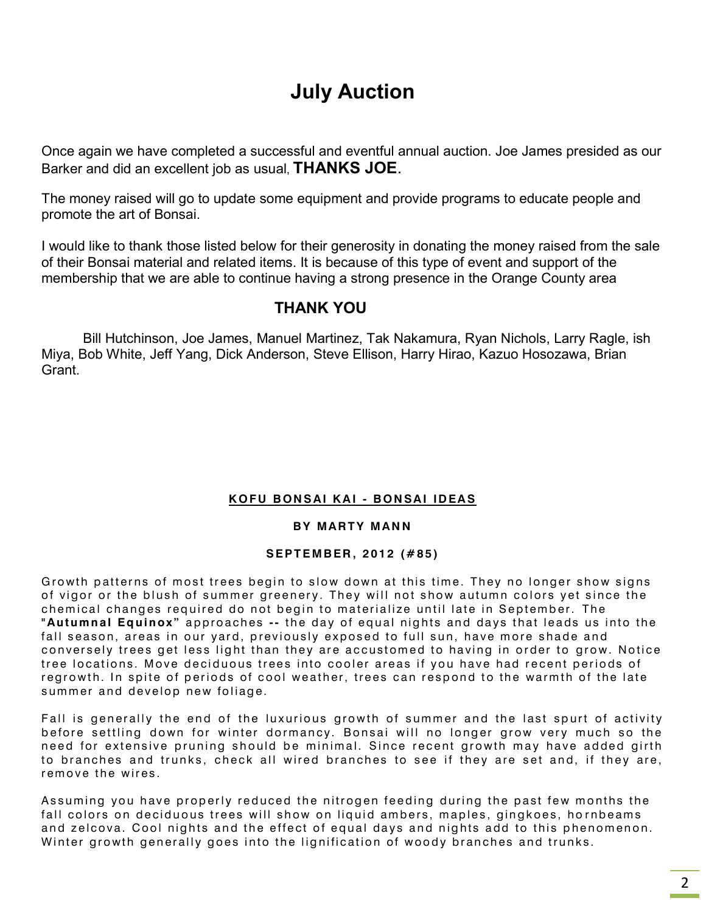# **July Auction**

Once again we have completed a successful and eventful annual auction. Joe James presided as our Barker and did an excellent job as usual, **THANKS JOE**.

The money raised will go to update some equipment and provide programs to educate people and promote the art of Bonsai.

I would like to thank those listed below for their generosity in donating the money raised from the sale of their Bonsai material and related items. It is because of this type of event and support of the membership that we are able to continue having a strong presence in the Orange County area

### **THANK YOU**

Bill Hutchinson, Joe James, Manuel Martinez, Tak Nakamura, Ryan Nichols, Larry Ragle, ish Miya, Bob White, Jeff Yang, Dick Anderson, Steve Ellison, Harry Hirao, Kazuo Hosozawa, Brian Grant.

#### **K O F U B ON S AI K A I - B ON SA I ID EA S**

#### **BY MARTY MANN**

#### **S E PT E M B ER , 2 01 2 ( # 8 5 )**

Growth patterns of most trees begin to slow down at this time. They no longer show signs of vigor or the blush of summer greenery. They will not show autumn colors yet since the chemical changes required do not begin to materialize until late in September. The **"Autumnal Equinox"** approaches -- the day of equal nights and days that leads us into the fall season, areas in our yard, previously exposed to full sun, have more shade and conversely trees get less light than they are accustomed to having in order to grow. Notice tree locations. Move deciduous trees into cooler areas if you have had recent periods of regrowth. In spite of periods of cool weather, trees can respond to the warmth of the late summer and develop new foliage.

Fall is generally the end of the luxurious growth of summer and the last spurt of activity before settling down for winter dormancy. Bonsai will no longer grow very much so the need for extensive pruning should be minimal. Since recent growth may have added girth to branches and trunks, check all wired branches to see if they are set and, if they are, remove the wires.

Assuming you have properly reduced the nitrogen feeding during the past few months the fall colors on deciduous trees will show on liquid ambers, maples, gingkoes, hornbeams and zelcova. Cool nights and the effect of equal days and nights add to this phenomenon. Winter growth generally goes into the lignification of woody branches and trunks.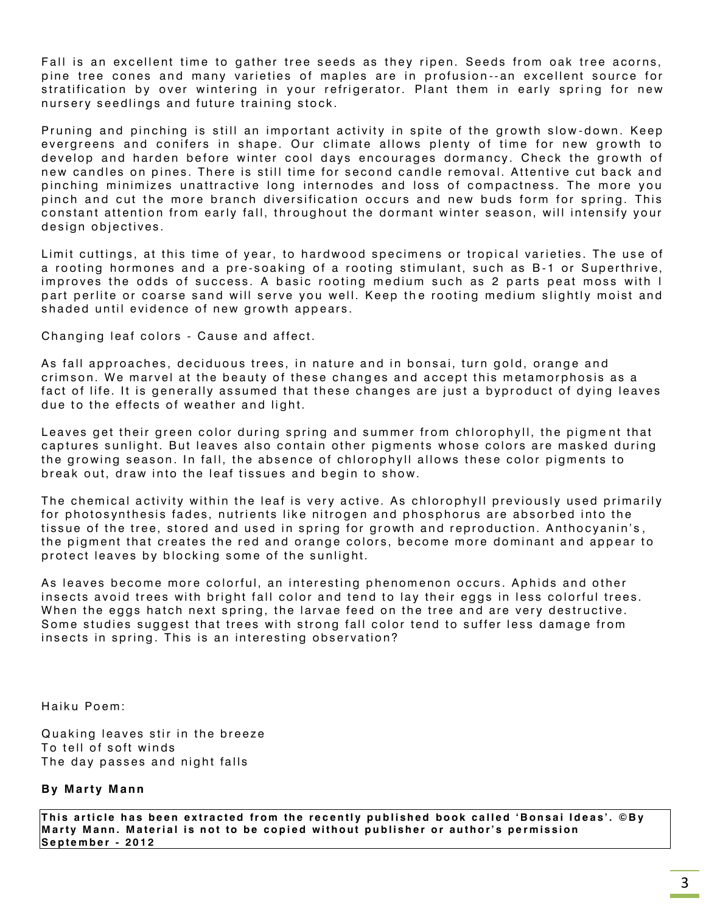Fall is an excellent time to gather tree seeds as they ripen. Seeds from oak tree acorns, pine tree cones and many varieties of maples are in profusion--an excellent source for stratification by over wintering in your refrigerator. Plant them in early spring for new nursery seedlings and future training stock.

Pruning and pinching is still an important activity in spite of the growth slow-down. Keep evergreens and conifers in shape. Our climate allows plenty of time for new growth to develop and harden before winter cool days encourages dormancy. Check the growth of new candles on pines. There is still time for second candle removal. Attentive cut back and pinching minimizes unattractive long internodes and loss of compactness. The more you pinch and cut the more branch diversification occurs and new buds form for spring. This constant attention from early fall, throughout the dormant winter season, will intensify your design objectives.

Limit cuttings, at this time of year, to hardwood specimens or tropical varieties. The use of a rooting hormones and a pre-soaking of a rooting stimulant, such as B-1 or Superthrive, improves the odds of success. A basic rooting medium such as 2 parts peat moss with I part perlite or coarse sand will serve you well. Keep the rooting medium slightly moist and shaded until evidence of new growth appears.

Changing leaf colors - Cause and affect.

As fall approaches, deciduous trees, in nature and in bonsai, turn gold, orange and crimson. We marvel at the beauty of these changes and accept this metamorphosis as a fact of life. It is generally assumed that these changes are just a byproduct of dying leaves due to the effects of weather and light.

Leaves get their green color during spring and summer from chlorophyll, the pigment that captures sunlight. But leaves also contain other pigments whose colors are masked during the growing season. In fall, the absence of chlorophyll allows these color pigments to break out, draw into the leaf tissues and begin to show.

The chemical activity within the leaf is very active. As chlorophyll previously used primarily for photosynthesis fades, nutrients like nitrogen and phosphorus are absorbed into the tissue of the tree, stored and used in spring for growth and reproduction. Anthocyanin's, the pigment that creates the red and orange colors, become more dominant and appear to protect leaves by blocking some of the sunlight.

As leaves become more colorful, an interesting phenomenon occurs. Aphids and other insects avoid trees with bright fall color and tend to lay their eggs in less colorful trees. When the eggs hatch next spring, the larvae feed on the tree and are very destructive. Some studies suggest that trees with strong fall color tend to suffer less damage from insects in spring. This is an interesting observation?

Haiku Poem:

Quaking leaves stir in the breeze To tell of soft winds The day passes and night falls

#### **By Marty Mann**

This article has been extracted from the recently published book called 'Bonsai Ideas'. ©By **Marty Mann. Material is not to be copied without publisher or author's permission S e p t e m b e r - 2 0 1 2**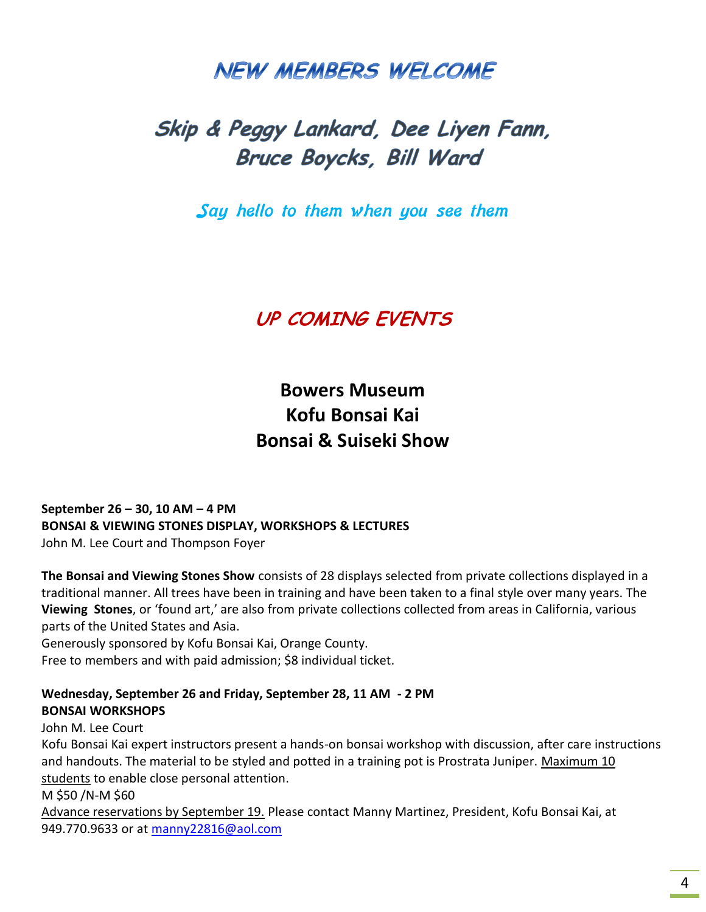# **NEW MEMBERS WELCOME**

# Skip & Peggy Lankard, Dee Liyen Fann, Bruce Boycks, Bill Ward

Say hello to them when you see them

### **UP COMING EVENTS**

### **Bowers Museum Kofu Bonsai Kai Bonsai & Suiseki Show**

**September 26 – 30, 10 AM – 4 PM BONSAI & VIEWING STONES DISPLAY, WORKSHOPS & LECTURES**  John M. Lee Court and Thompson Foyer

**The Bonsai and Viewing Stones Show** consists of 28 displays selected from private collections displayed in a traditional manner. All trees have been in training and have been taken to a final style over many years. The **Viewing Stones**, or 'found art,' are also from private collections collected from areas in California, various parts of the United States and Asia.

Generously sponsored by Kofu Bonsai Kai, Orange County. Free to members and with paid admission; \$8 individual ticket.

#### **Wednesday, September 26 and Friday, September 28, 11 AM - 2 PM BONSAI WORKSHOPS**

#### John M. Lee Court

Kofu Bonsai Kai expert instructors present a hands-on bonsai workshop with discussion, after care instructions and handouts. The material to be styled and potted in a training pot is Prostrata Juniper. Maximum 10 students to enable close personal attention.

M \$50 /N-M \$60

Advance reservations by September 19. Please contact Manny Martinez, President, Kofu Bonsai Kai, at 949.770.9633 or at [manny22816@aol.com](mailto:manny22816@aol.com)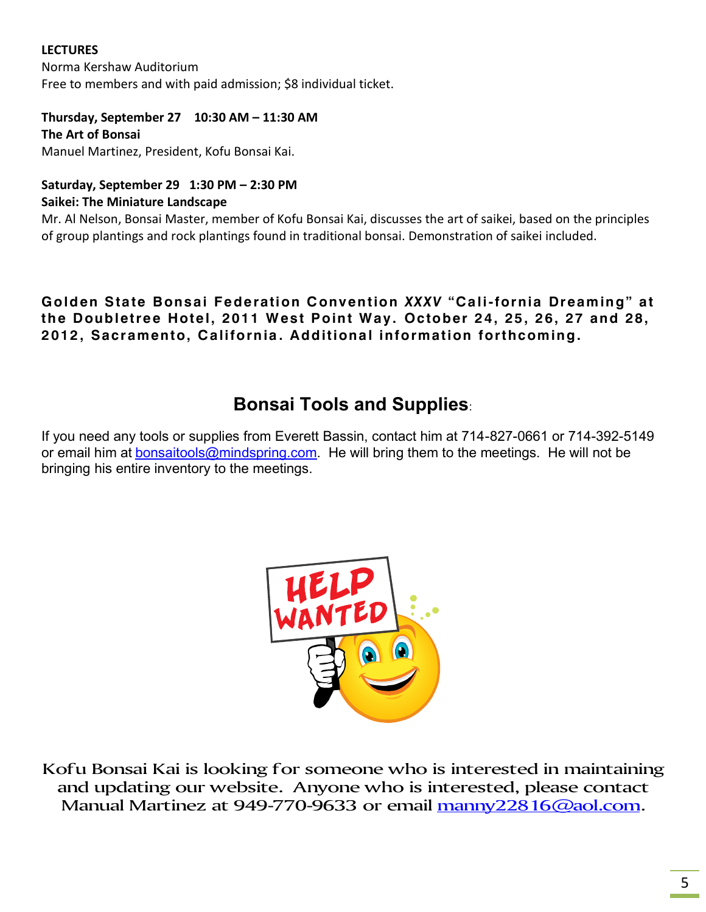#### **LECTURES**

Norma Kershaw Auditorium Free to members and with paid admission; \$8 individual ticket.

#### **Thursday, September 27 10:30 AM – 11:30 AM**

**The Art of Bonsai** Manuel Martinez, President, Kofu Bonsai Kai.

### **Saturday, September 29 1:30 PM – 2:30 PM**

#### **Saikei: The Miniature Landscape**

Mr. Al Nelson, Bonsai Master, member of Kofu Bonsai Kai, discusses the art of saikei, based on the principles of group plantings and rock plantings found in traditional bonsai. Demonstration of saikei included.

#### **Golden State Bonsai Federation Convention** *XXXV* **"Cali-fornia Dreaming" at the Doubletree Hotel, 2011 West Point Way. October 24, 25, 26, 27 and 28, 2012 , Sacramento, California . Additional information forthcoming.**

### **Bonsai Tools and Supplies**:

If you need any tools or supplies from Everett Bassin, contact him at 714-827-0661 or 714-392-5149 or email him at [bonsaitools@mindspring.com.](mailto:bonsaitools@mindspring.com) He will bring them to the meetings. He will not be bringing his entire inventory to the meetings.



Kofu Bonsai Kai is looking for someone who is interested in maintaining and updating our website. Anyone who is interested, please contact Manual Martinez at 949-770-9633 or email [manny22816@aol.com.](mailto:manny22816@aol.com)